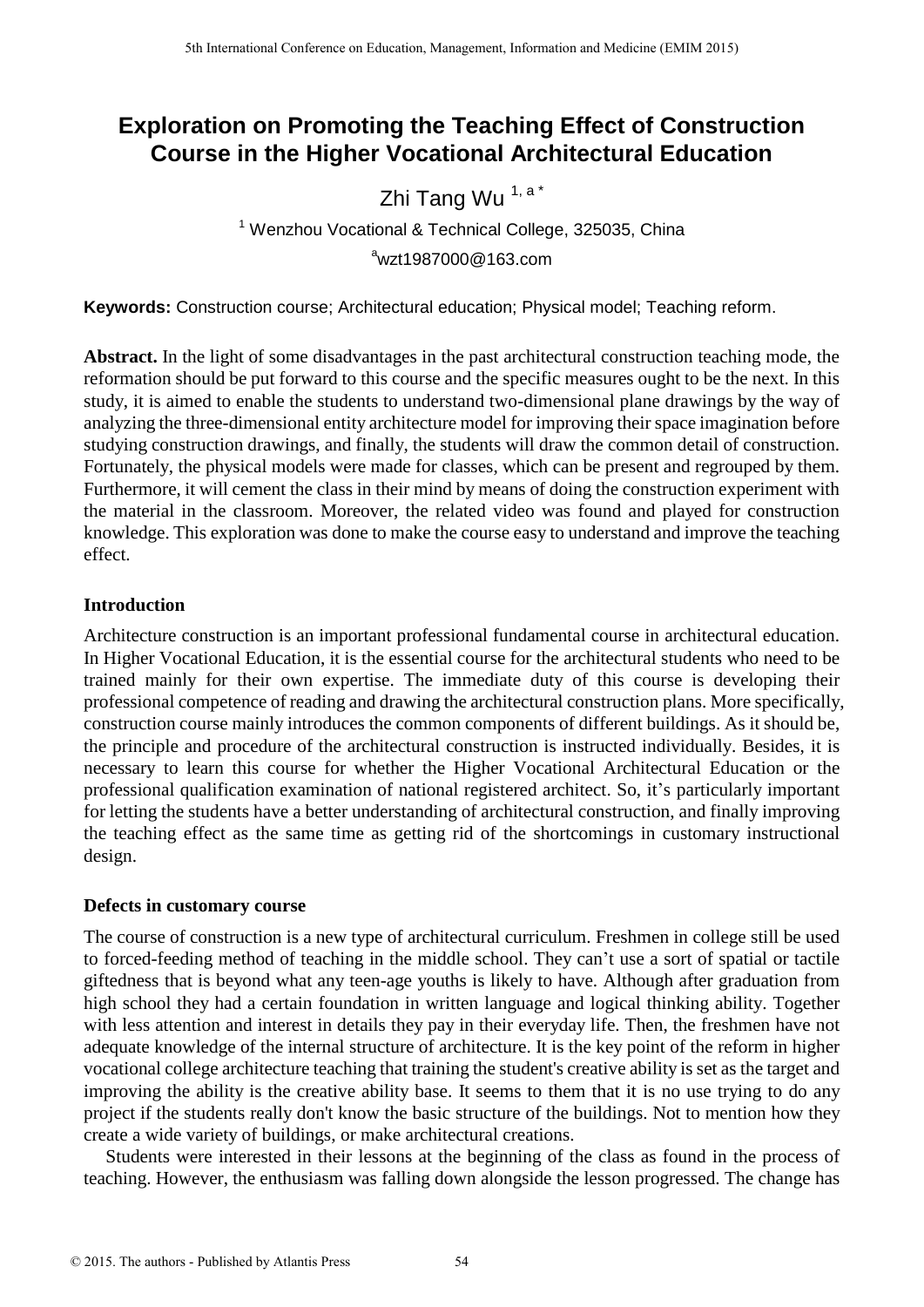# **Exploration on Promoting the Teaching Effect of Construction Course in the Higher Vocational Architectural Education**

# Zhi Tang Wu<sup>1, a\*</sup>

<sup>1</sup> Wenzhou Vocational & Technical College, 325035, China  $\mathrm{^{a}w}$ zt1987000@163.com

**Keywords:** Construction course; Architectural education; Physical model; Teaching reform.

**Abstract.** In the light of some disadvantages in the past architectural construction teaching mode, the reformation should be put forward to this course and the specific measures ought to be the next. In this study, it is aimed to enable the students to understand two-dimensional plane drawings by the way of analyzing the three-dimensional entity architecture model for improving their space imagination before studying construction drawings, and finally, the students will draw the common detail of construction. Fortunately, the physical models were made for classes, which can be present and regrouped by them. Furthermore, it will cement the class in their mind by means of doing the construction experiment with the material in the classroom. Moreover, the related video was found and played for construction knowledge. This exploration was done to make the course easy to understand and improve the teaching effect.

## **Introduction**

Architecture construction is an important professional fundamental course in architectural education. In Higher Vocational Education, it is the essential course for the architectural students who need to be trained mainly for their own expertise. The immediate duty of this course is developing their professional competence of reading and drawing the architectural construction plans. More specifically, construction course mainly introduces the common components of different buildings. As it should be, the principle and procedure of the architectural construction is instructed individually. Besides, it is necessary to learn this course for whether the Higher Vocational Architectural Education or the professional qualification examination of national registered architect. So, it's particularly important for letting the students have a better understanding of architectural construction, and finally improving the teaching effect as the same time as getting rid of the shortcomings in customary instructional design.

## **Defects in customary course**

The course of construction is a new type of architectural curriculum. Freshmen in college still be used to forced-feeding method of teaching in the middle school. They can't use a sort of spatial or tactile giftedness that is beyond what any teen-age youths is likely to have. Although after graduation from high school they had a certain foundation in written language and logical thinking ability. Together with less attention and interest in details they pay in their everyday life. Then, the freshmen have not adequate knowledge of the internal structure of architecture. It is the key point of the reform in higher vocational college architecture teaching that training the student's creative ability is set as the target and improving the ability is the creative ability base. It seems to them that it is no use trying to do any project if the students really don't know the basic structure of the buildings. Not to mention how they create a wide variety of buildings, or make architectural creations.

Students were interested in their lessons at the beginning of the class as found in the process of teaching. However, the enthusiasm was falling down alongside the lesson progressed. The change has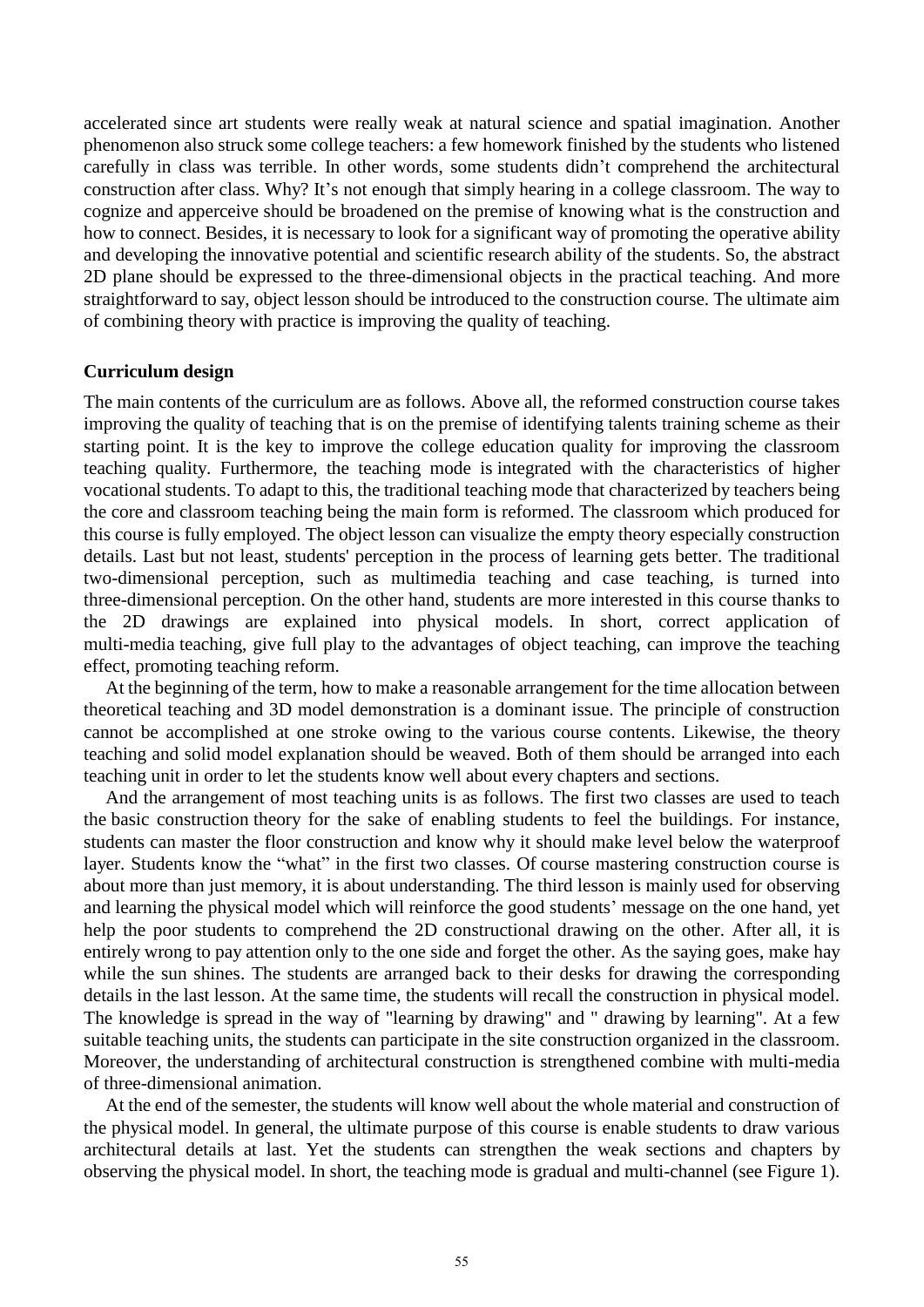accelerated since art students were really weak at natural science and spatial imagination. Another phenomenon also struck some college teachers: a few homework finished by the students who listened carefully in class was terrible. In other words, some students didn't comprehend the architectural construction after class. Why? It's not enough that simply hearing in a college classroom. The way to cognize and apperceive should be broadened on the premise of knowing what is the construction and how to connect. Besides, it is necessary to look for a significant way of promoting the operative ability and developing the innovative potential and scientific research ability of the students. So, the abstract 2D plane should be expressed to the three-dimensional objects in the practical teaching. And more straightforward to say, object lesson should be introduced to the construction course. The ultimate aim of combining theory with practice is improving the quality of teaching.

#### **Curriculum design**

The main contents of the curriculum are as follows. Above all, the reformed construction course takes improving the quality of teaching that is on the premise of identifying talents training scheme as their starting point. It is the key to improve the college education quality for improving the classroom teaching quality. Furthermore, the teaching mode is integrated with the characteristics of higher vocational students. To adapt to this, the traditional teaching mode that characterized by teachers being the core and classroom teaching being the main form is reformed. The classroom which produced for this course is fully employed. The object lesson can visualize the empty theory especially construction details. Last but not least, students' perception in the process of learning gets better. The traditional two-dimensional perception, such as multimedia teaching and case teaching, is turned into three-dimensional perception. On the other hand, students are more interested in this course thanks to the 2D drawings are explained into physical models. In short, correct application of multi-media teaching, give full play to the advantages of object teaching, can improve the teaching effect, promoting teaching reform.

At the beginning of the term, how to make a reasonable arrangement for the time allocation between theoretical teaching and 3D model demonstration is a dominant issue. The principle of construction cannot be accomplished at one stroke owing to the various course contents. Likewise, the theory teaching and solid model explanation should be weaved. Both of them should be arranged into each teaching unit in order to let the students know well about every chapters and sections.

And the arrangement of most teaching units is as follows. The first two classes are used to teach the basic construction theory for the sake of enabling students to feel the buildings. For instance, students can master the floor construction and know why it should make level below the waterproof layer. Students know the "what" in the first two classes. Of course mastering construction course is about more than just memory, it is about understanding. The third lesson is mainly used for observing and learning the physical model which will reinforce the good students' message on the one hand, yet help the poor students to comprehend the 2D constructional drawing on the other. After all, it is entirely wrong to pay attention only to the one side and forget the other. As the saying goes, make hay while the sun shines. The students are arranged back to their desks for drawing the corresponding details in the last lesson. At the same time, the students will recall the construction in physical model. The knowledge is spread in the way of "learning by drawing" and " drawing by learning". At a few suitable teaching units, the students can participate in the site construction organized in the classroom. Moreover, the understanding of architectural construction is strengthened combine with multi-media of three-dimensional animation.

At the end of the semester, the students will know well about the whole material and construction of the physical model. In general, the ultimate purpose of this course is enable students to draw various architectural details at last. Yet the students can strengthen the weak sections and chapters by observing the physical model. In short, the teaching mode is gradual and multi-channel (see Figure 1).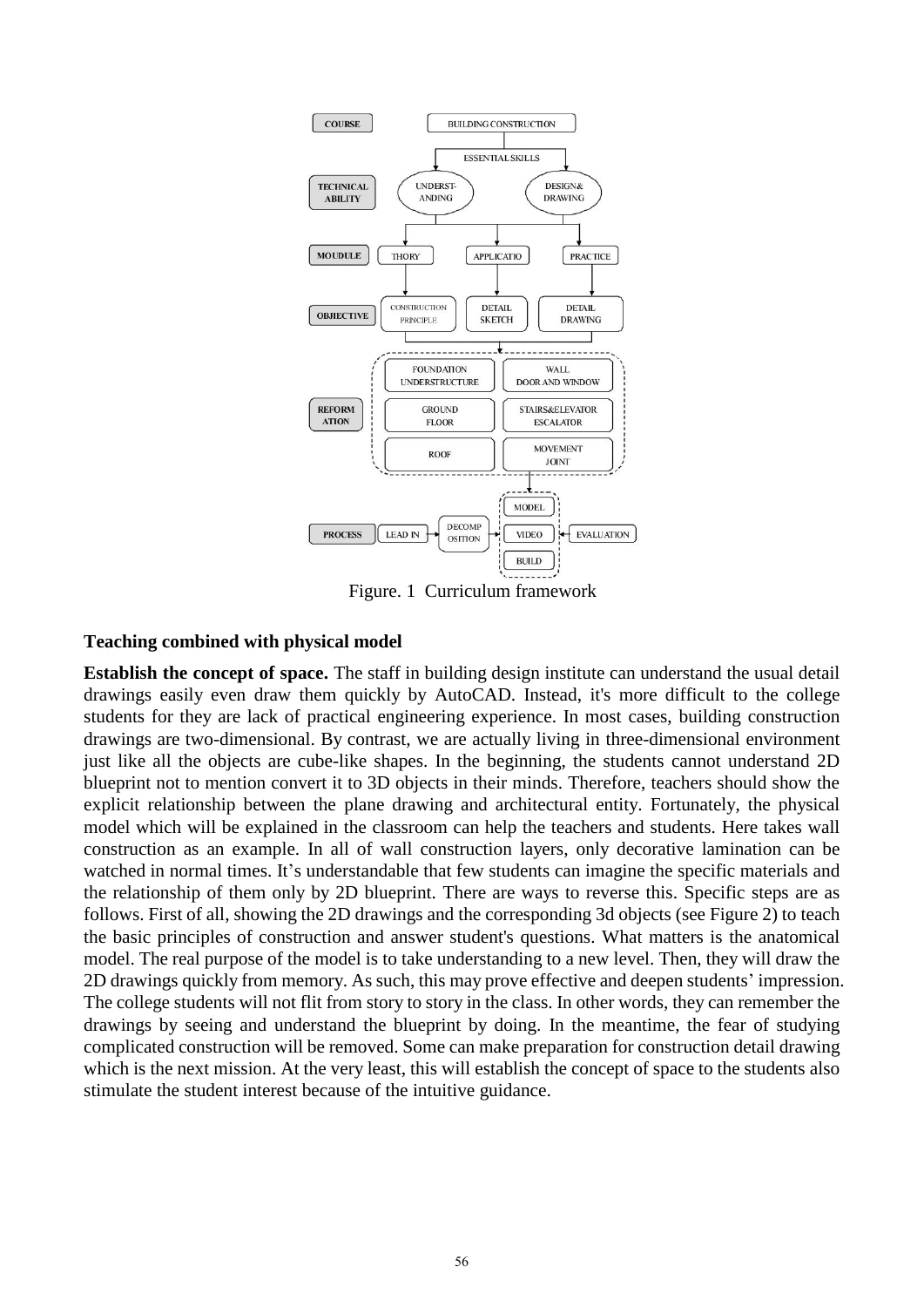

Figure. 1 Curriculum framework

### **Teaching combined with physical model**

**Establish the concept of space.** The staff in building design institute can understand the usual detail drawings easily even draw them quickly by AutoCAD. Instead, it's more difficult to the college students for they are lack of practical engineering experience. In most cases, building construction drawings are two-dimensional. By contrast, we are actually living in three-dimensional environment just like all the objects are cube-like shapes. In the beginning, the students cannot understand 2D blueprint not to mention convert it to 3D objects in their minds. Therefore, teachers should show the explicit relationship between the plane drawing and architectural entity. Fortunately, the physical model which will be explained in the classroom can help the teachers and students. Here takes wall construction as an example. In all of wall construction layers, only decorative lamination can be watched in normal times. It's understandable that few students can imagine the specific materials and the relationship of them only by 2D blueprint. There are ways to reverse this. Specific steps are as follows. First of all, showing the 2D drawings and the corresponding 3d objects (see Figure 2) to teach the basic principles of construction and answer student's questions. What matters is the anatomical model. The real purpose of the model is to take understanding to a new level. Then, they will draw the 2D drawings quickly from memory. As such, this may prove effective and deepen students' impression. The college students will not flit from story to story in the class. In other words, they can remember the drawings by seeing and understand the blueprint by doing. In the meantime, the fear of studying complicated construction will be removed. Some can make preparation for construction detail drawing which is the next mission. At the very least, this will establish the concept of space to the students also stimulate the student interest because of the intuitive guidance.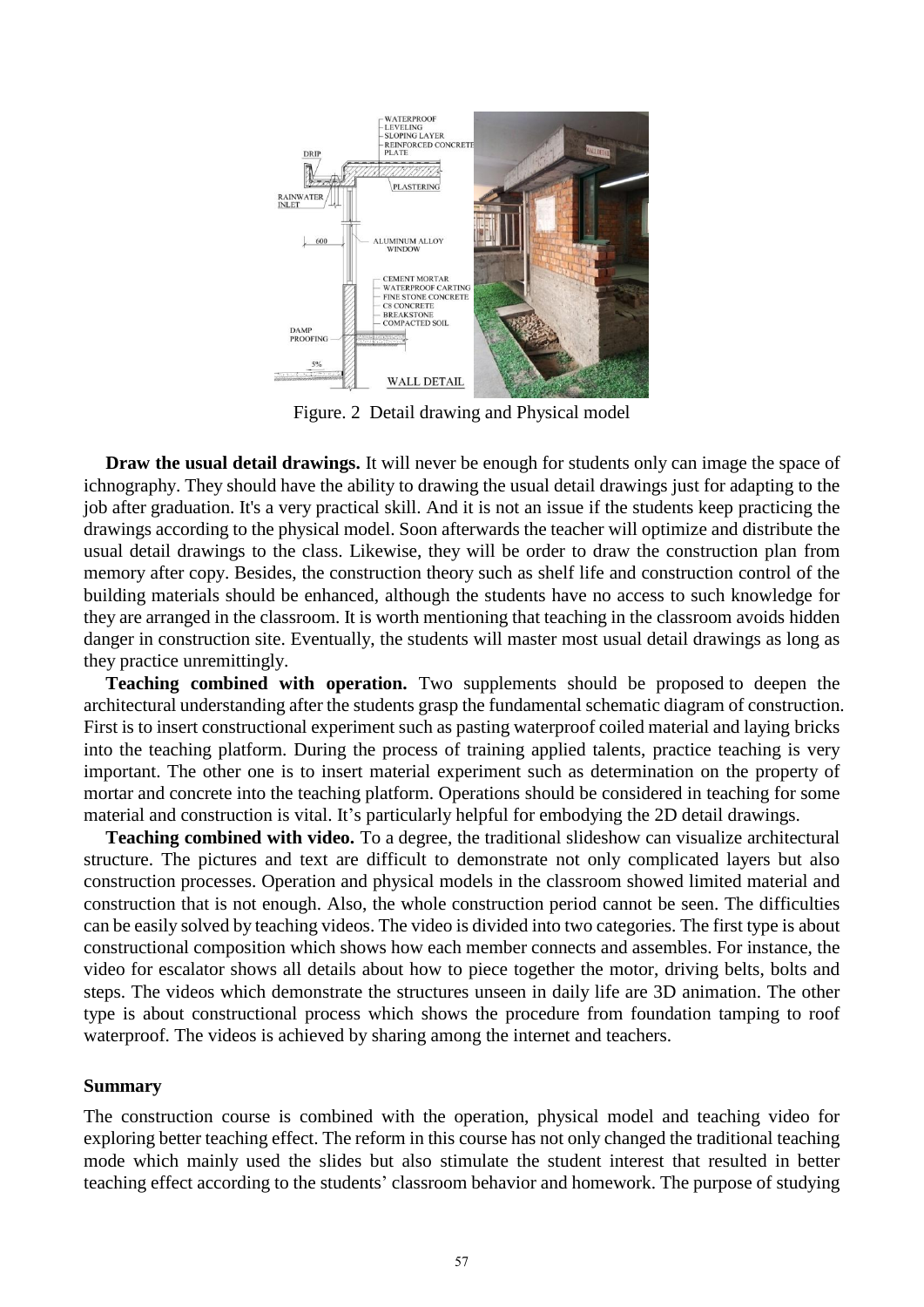

Figure. 2 Detail drawing and Physical model

**Draw the usual detail drawings.** It will never be enough for students only can image the space of ichnography. They should have the ability to drawing the usual detail drawings just for adapting to the job after graduation. It's a very practical skill. And it is not an issue if the students keep practicing the drawings according to the physical model. Soon afterwards the teacher will optimize and distribute the usual detail drawings to the class. Likewise, they will be order to draw the construction plan from memory after copy. Besides, the construction theory such as shelf life and construction control of the building materials should be enhanced, although the students have no access to such knowledge for they are arranged in the classroom. It is worth mentioning that teaching in the classroom avoids hidden danger in construction site. Eventually, the students will master most usual detail drawings as long as they practice unremittingly.

**Teaching combined with operation.** Two supplements should be proposed to deepen the architectural understanding after the students grasp the fundamental schematic diagram of construction. First is to insert constructional experiment such as pasting waterproof coiled material and laying bricks into the teaching platform. During the process of training applied talents, practice teaching is very important. The other one is to insert material experiment such as determination on the property of mortar and concrete into the teaching platform. Operations should be considered in teaching for some material and construction is vital. It's particularly helpful for embodying the 2D detail drawings.

**Teaching combined with video.** To a degree, the traditional slideshow can visualize architectural structure. The pictures and text are difficult to demonstrate not only complicated layers but also construction processes. Operation and physical models in the classroom showed limited material and construction that is not enough. Also, the whole construction period cannot be seen. The difficulties can be easily solved by teaching videos. The video is divided into two categories. The first type is about constructional composition which shows how each member connects and assembles. For instance, the video for escalator shows all details about how to piece together the motor, driving belts, bolts and steps. The videos which demonstrate the structures unseen in daily life are 3D animation. The other type is about constructional process which shows the procedure from foundation tamping to roof waterproof. The videos is achieved by sharing among the internet and teachers.

#### **Summary**

The construction course is combined with the operation, physical model and teaching video for exploring better teaching effect. The reform in this course has not only changed the traditional teaching mode which mainly used the slides but also stimulate the student interest that resulted in better teaching effect according to the students' classroom behavior and homework. The purpose of studying